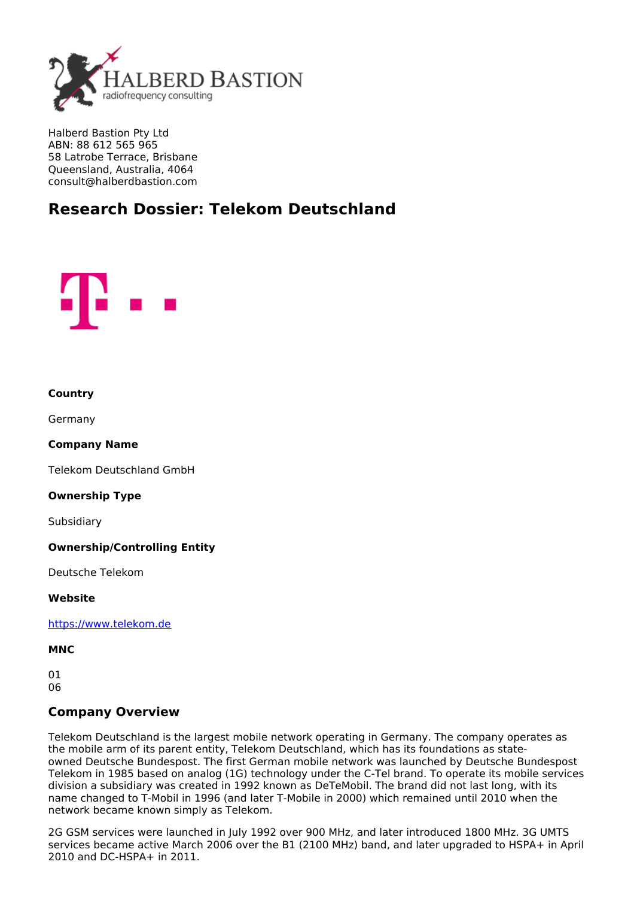

Halberd Bastion Pty Ltd ABN: 88 612 565 965 58 Latrobe Terrace, Brisbane Queensland, Australia, 4064 consult@halberdbastion.com

# **Research Dossier: Telekom Deutschland**



#### **Country**

Germany

# **Company Name**

Telekom Deutschland GmbH

#### **Ownership Type**

Subsidiary

#### **Ownership/Controlling Entity**

Deutsche Telekom

#### **Website**

<https://www.telekom.de>

#### **MNC**

01 06

# **Company Overview**

Telekom Deutschland is the largest mobile network operating in Germany. The company operates as the mobile arm of its parent entity, Telekom Deutschland, which has its foundations as stateowned Deutsche Bundespost. The first German mobile network was launched by Deutsche Bundespost Telekom in 1985 based on analog (1G) technology under the C-Tel brand. To operate its mobile services division a subsidiary was created in 1992 known as DeTeMobil. The brand did not last long, with its name changed to T-Mobil in 1996 (and later T-Mobile in 2000) which remained until 2010 when the network became known simply as Telekom.

2G GSM services were launched in July 1992 over 900 MHz, and later introduced 1800 MHz. 3G UMTS services became active March 2006 over the B1 (2100 MHz) band, and later upgraded to HSPA+ in April 2010 and DC-HSPA+ in 2011.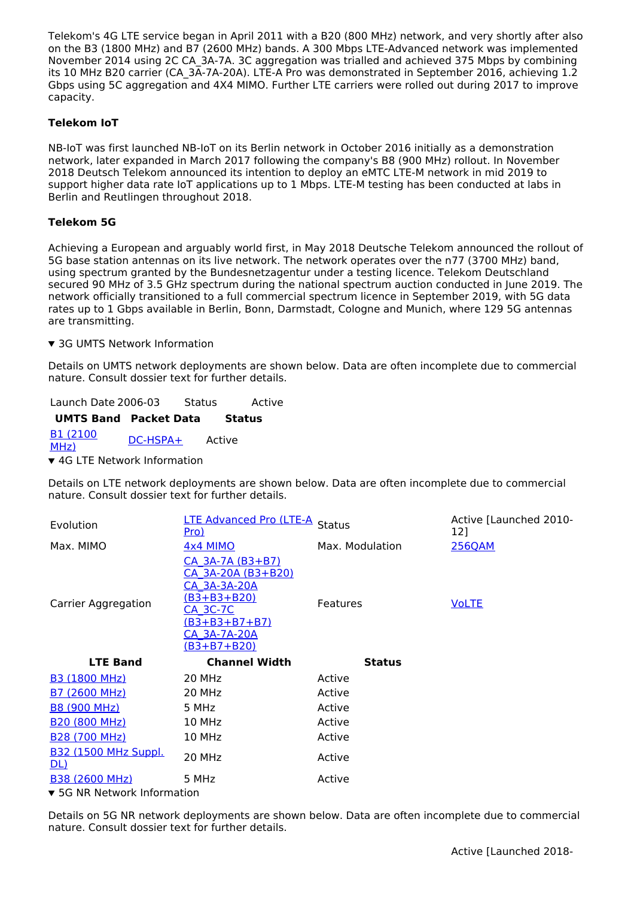Telekom's 4G LTE service began in April 2011 with a B20 (800 MHz) network, and very shortly after also on the B3 (1800 MHz) and B7 (2600 MHz) bands. A 300 Mbps LTE-Advanced network was implemented November 2014 using 2C CA\_3A-7A. 3C aggregation was trialled and achieved 375 Mbps by combining its 10 MHz B20 carrier (CA\_3A-7A-20A). LTE-A Pro was demonstrated in September 2016, achieving 1.2 Gbps using 5C aggregation and 4X4 MIMO. Further LTE carriers were rolled out during 2017 to improve capacity.

# **Telekom IoT**

NB-IoT was first launched NB-IoT on its Berlin network in October 2016 initially as a demonstration network, later expanded in March 2017 following the company's B8 (900 MHz) rollout. In November 2018 Deutsch Telekom announced its intention to deploy an eMTC LTE-M network in mid 2019 to support higher data rate IoT applications up to 1 Mbps. LTE-M testing has been conducted at labs in Berlin and Reutlingen throughout 2018.

# **Telekom 5G**

Achieving a European and arguably world first, in May 2018 Deutsche Telekom announced the rollout of 5G base station antennas on its live network. The network operates over the n77 (3700 MHz) band, using spectrum granted by the Bundesnetzagentur under a testing licence. Telekom Deutschland secured 90 MHz of 3.5 GHz spectrum during the national spectrum auction conducted in June 2019. The network officially transitioned to a full commercial spectrum licence in September 2019, with 5G data rates up to 1 Gbps available in Berlin, Bonn, Darmstadt, Cologne and Munich, where 129 5G antennas are transmitting.

▼ 3G UMTS Network Information

Details on UMTS network deployments are shown below. Data are often incomplete due to commercial nature. Consult dossier text for further details.

Launch Date 2006-03 Status Active **UMTS Band Packet Data Status** B1 [\(2100](https://halberdbastion.com/technology/cellular/3g-umts/umts-frequency-bands/b1-2100-mhz) <u>BI (2100</u> [DC-HSPA+](https://halberdbastion.com/technology/cellular/3g-umts/umts-packet-data/dc-hspa) Active ▼ 4G LTE Network Information

Details on LTE network deployments are shown below. Data are often incomplete due to commercial nature. Consult dossier text for further details.

| Evolution                                 | <b>LTE Advanced Pro (LTE-A</b><br><u>Pro)</u>                                                                                                  | <b>Status</b>   | Active [Launched 2010-<br>12] |  |  |  |
|-------------------------------------------|------------------------------------------------------------------------------------------------------------------------------------------------|-----------------|-------------------------------|--|--|--|
| Max. MIMO                                 | <b>4x4 MIMO</b>                                                                                                                                | Max. Modulation | <b>256QAM</b>                 |  |  |  |
| <b>Carrier Aggregation</b>                | CA 3A-7A (B3+B7)<br>CA 3A-20A (B3+B20)<br><u>CA 3A-3A-20A</u><br>(B3+B3+B20)<br>CA 3C-7C<br>(B3+B3+B7+B7)<br>CA 3A-7A-20A<br>$(B3 + B7 + B20)$ | <b>Features</b> | <b>VoLTE</b>                  |  |  |  |
| <b>LTE Band</b>                           | <b>Channel Width</b>                                                                                                                           | <b>Status</b>   |                               |  |  |  |
| <b>B3 (1800 MHz)</b>                      | 20 MHz                                                                                                                                         | Active          |                               |  |  |  |
| <b>B7 (2600 MHz)</b>                      | 20 MHz                                                                                                                                         | Active          |                               |  |  |  |
| <b>B8 (900 MHz)</b>                       | 5 MHz                                                                                                                                          | Active          |                               |  |  |  |
| <b>B20 (800 MHz)</b>                      | 10 MHz                                                                                                                                         | Active          |                               |  |  |  |
| <b>B28 (700 MHz)</b>                      | 10 MHz                                                                                                                                         | Active          |                               |  |  |  |
| <b>B32 (1500 MHz Suppl.</b><br><u>DL)</u> | 20 MHz                                                                                                                                         | Active          |                               |  |  |  |
| B38 (2600 MHz)                            | 5 MHz                                                                                                                                          | Active          |                               |  |  |  |
| <b>• 5C ND Notwork Information</b>        |                                                                                                                                                |                 |                               |  |  |  |

 $\blacktriangledown$  5G NR Network Information

Details on 5G NR network deployments are shown below. Data are often incomplete due to commercial nature. Consult dossier text for further details.